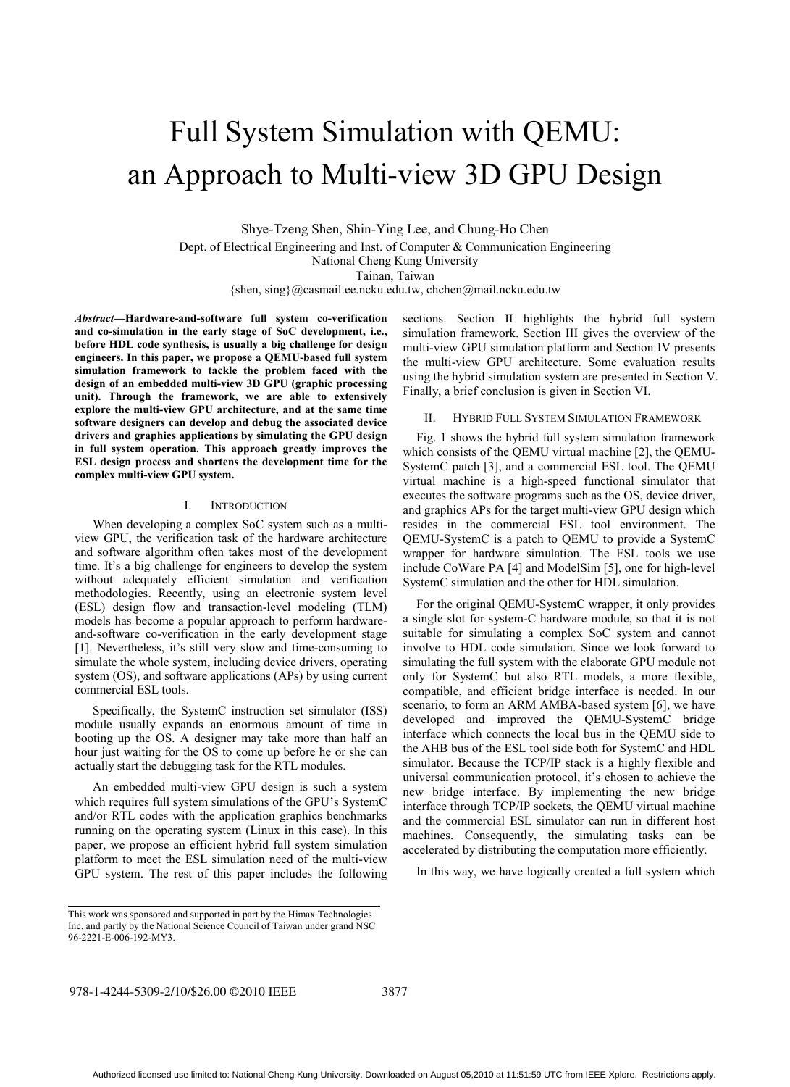# Full System Simulation with QEMU: an Approach to Multi-view 3D GPU Design

Shye-Tzeng Shen, Shin-Ying Lee, and Chung-Ho Chen Dept. of Electrical Engineering and Inst. of Computer & Communication Engineering National Cheng Kung University Tainan, Taiwan

{shen, sing}@casmail.ee.ncku.edu.tw, chchen@mail.ncku.edu.tw

*Abstract***—Hardware-and-software full system co-verification and co-simulation in the early stage of SoC development, i.e., before HDL code synthesis, is usually a big challenge for design engineers. In this paper, we propose a QEMU-based full system simulation framework to tackle the problem faced with the design of an embedded multi-view 3D GPU (graphic processing unit). Through the framework, we are able to extensively explore the multi-view GPU architecture, and at the same time software designers can develop and debug the associated device drivers and graphics applications by simulating the GPU design in full system operation. This approach greatly improves the ESL design process and shortens the development time for the complex multi-view GPU system.** 

# I. INTRODUCTION

When developing a complex SoC system such as a multiview GPU, the verification task of the hardware architecture and software algorithm often takes most of the development time. It's a big challenge for engineers to develop the system without adequately efficient simulation and verification methodologies. Recently, using an electronic system level (ESL) design flow and transaction-level modeling (TLM) models has become a popular approach to perform hardwareand-software co-verification in the early development stage [1]. Nevertheless, it's still very slow and time-consuming to simulate the whole system, including device drivers, operating system (OS), and software applications (APs) by using current commercial ESL tools.

Specifically, the SystemC instruction set simulator (ISS) module usually expands an enormous amount of time in booting up the OS. A designer may take more than half an hour just waiting for the OS to come up before he or she can actually start the debugging task for the RTL modules.

An embedded multi-view GPU design is such a system which requires full system simulations of the GPU's SystemC and/or RTL codes with the application graphics benchmarks running on the operating system (Linux in this case). In this paper, we propose an efficient hybrid full system simulation platform to meet the ESL simulation need of the multi-view GPU system. The rest of this paper includes the following sections. Section II highlights the hybrid full system simulation framework. Section III gives the overview of the multi-view GPU simulation platform and Section IV presents the multi-view GPU architecture. Some evaluation results using the hybrid simulation system are presented in Section V. Finally, a brief conclusion is given in Section VI.

# II. HYBRID FULL SYSTEM SIMULATION FRAMEWORK

Fig. 1 shows the hybrid full system simulation framework which consists of the QEMU virtual machine [2], the QEMU-SystemC patch [3], and a commercial ESL tool. The QEMU virtual machine is a high-speed functional simulator that executes the software programs such as the OS, device driver, and graphics APs for the target multi-view GPU design which resides in the commercial ESL tool environment. The QEMU-SystemC is a patch to QEMU to provide a SystemC wrapper for hardware simulation. The ESL tools we use include CoWare PA [4] and ModelSim [5], one for high-level SystemC simulation and the other for HDL simulation.

For the original QEMU-SystemC wrapper, it only provides a single slot for system-C hardware module, so that it is not suitable for simulating a complex SoC system and cannot involve to HDL code simulation. Since we look forward to simulating the full system with the elaborate GPU module not only for SystemC but also RTL models, a more flexible, compatible, and efficient bridge interface is needed. In our scenario, to form an ARM AMBA-based system [6], we have developed and improved the QEMU-SystemC bridge interface which connects the local bus in the QEMU side to the AHB bus of the ESL tool side both for SystemC and HDL simulator. Because the TCP/IP stack is a highly flexible and universal communication protocol, it's chosen to achieve the new bridge interface. By implementing the new bridge interface through TCP/IP sockets, the QEMU virtual machine and the commercial ESL simulator can run in different host machines. Consequently, the simulating tasks can be accelerated by distributing the computation more efficiently.

In this way, we have logically created a full system which

This work was sponsored and supported in part by the Himax Technologies Inc. and partly by the National Science Council of Taiwan under grand NSC 96-2221-E-006-192-MY3.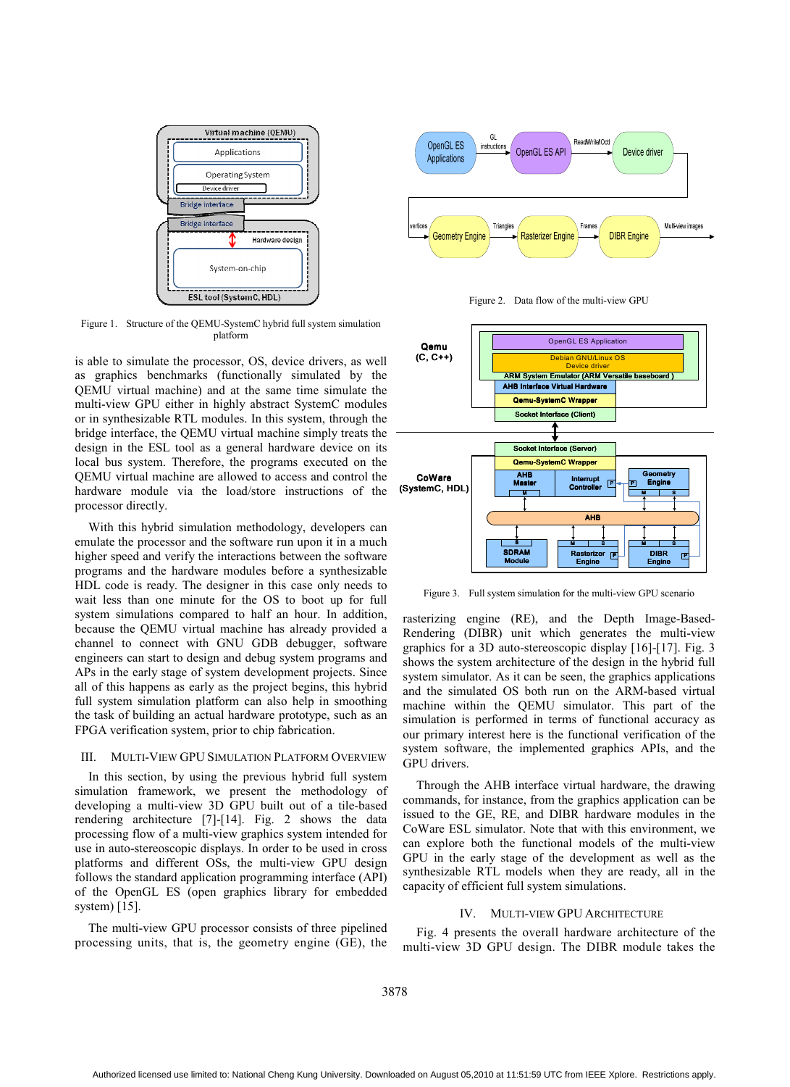

Figure 1. Structure of the QEMU-SystemC hybrid full system simulation platform

is able to simulate the processor, OS, device drivers, as well as graphics benchmarks (functionally simulated by the QEMU virtual machine) and at the same time simulate the multi-view GPU either in highly abstract SystemC modules or in synthesizable RTL modules. In this system, through the bridge interface, the QEMU virtual machine simply treats the design in the ESL tool as a general hardware device on its local bus system. Therefore, the programs executed on the QEMU virtual machine are allowed to access and control the hardware module via the load/store instructions of the processor directly.

With this hybrid simulation methodology, developers can emulate the processor and the software run upon it in a much higher speed and verify the interactions between the software programs and the hardware modules before a synthesizable HDL code is ready. The designer in this case only needs to wait less than one minute for the OS to boot up for full system simulations compared to half an hour. In addition, because the QEMU virtual machine has already provided a channel to connect with GNU GDB debugger, software engineers can start to design and debug system programs and APs in the early stage of system development projects. Since all of this happens as early as the project begins, this hybrid full system simulation platform can also help in smoothing the task of building an actual hardware prototype, such as an FPGA verification system, prior to chip fabrication.

#### III. MULTI-VIEW GPU SIMULATION PLATFORM OVERVIEW

In this section, by using the previous hybrid full system simulation framework, we present the methodology of developing a multi-view 3D GPU built out of a tile-based rendering architecture [7]-[14]. Fig. 2 shows the data processing flow of a multi-view graphics system intended for use in auto-stereoscopic displays. In order to be used in cross platforms and different OSs, the multi-view GPU design follows the standard application programming interface (API) of the OpenGL ES (open graphics library for embedded system)  $[15]$ .

The multi-view GPU processor consists of three pipelined processing units, that is, the geometry engine (GE), the



Figure 2. Data flow of the multi-view GPU



Figure 3. Full system simulation for the multi-view GPU scenario

rasterizing engine (RE), and the Depth Image-Based-Rendering (DIBR) unit which generates the multi-view graphics for a 3D auto-stereoscopic display [16]-[17]. Fig. 3 shows the system architecture of the design in the hybrid full system simulator. As it can be seen, the graphics applications and the simulated OS both run on the ARM-based virtual machine within the QEMU simulator. This part of the simulation is performed in terms of functional accuracy as our primary interest here is the functional verification of the system software, the implemented graphics APIs, and the GPU drivers.

Through the AHB interface virtual hardware, the drawing commands, for instance, from the graphics application can be issued to the GE, RE, and DIBR hardware modules in the CoWare ESL simulator. Note that with this environment, we can explore both the functional models of the multi-view GPU in the early stage of the development as well as the synthesizable RTL models when they are ready, all in the capacity of efficient full system simulations.

#### IV. MULTI-VIEW GPU ARCHITECTURE

Fig. 4 presents the overall hardware architecture of the multi-view 3D GPU design. The DIBR module takes the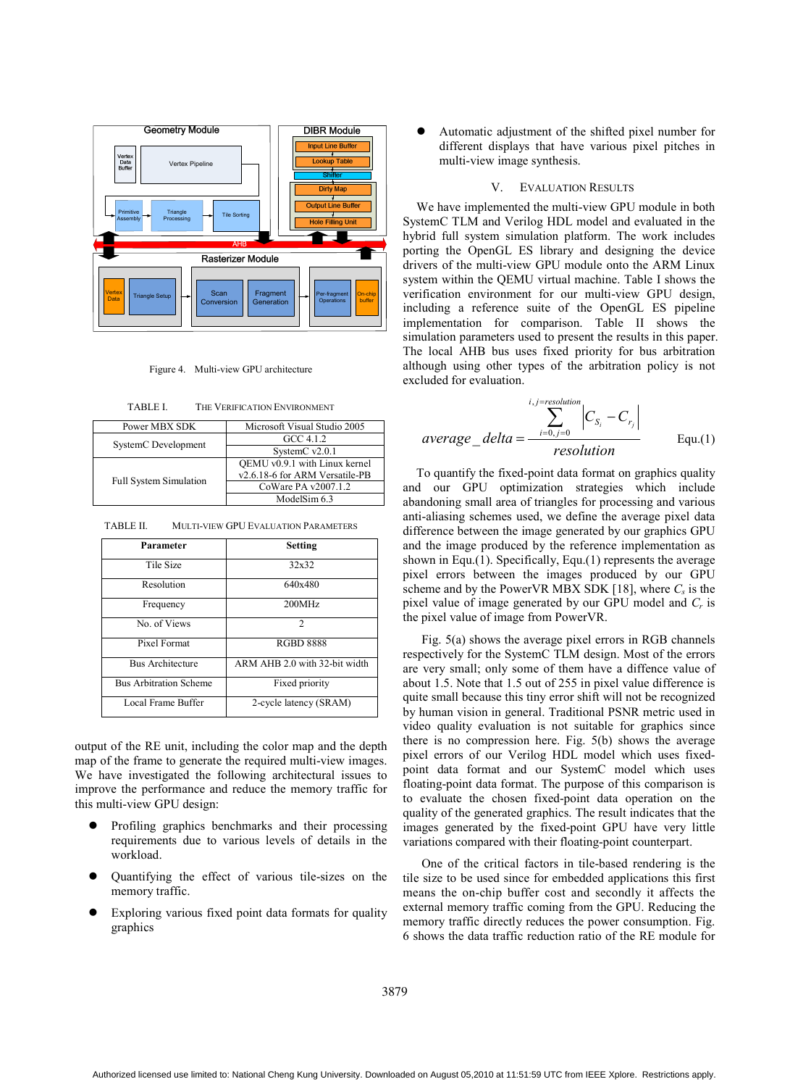

Figure 4. Multi-view GPU architecture

| THE VERIFICATION ENVIRONMENT<br>TABLE I. |  |
|------------------------------------------|--|
|------------------------------------------|--|

| Power MBX SDK          | Microsoft Visual Studio 2005   |
|------------------------|--------------------------------|
| SystemC Development    | GCC <sub>4.1.2</sub>           |
|                        | System $C$ v2.0.1              |
| Full System Simulation | OEMU v0.9.1 with Linux kernel  |
|                        | v2.6.18-6 for ARM Versatile-PB |
|                        | CoWare PA v2007.1.2            |
|                        | ModelSim 6.3                   |

TABLE II. MULTI-VIEW GPU EVALUATION PARAMETERS

| Parameter                     | <b>Setting</b>                |
|-------------------------------|-------------------------------|
| Tile Size                     | 32x32                         |
| Resolution                    | 640x480                       |
| Frequency                     | 200MHz                        |
| No. of Views                  | $\mathfrak{D}$                |
| Pixel Format                  | <b>RGBD 8888</b>              |
| <b>Bus Architecture</b>       | ARM AHB 2.0 with 32-bit width |
| <b>Bus Arbitration Scheme</b> | Fixed priority                |
| Local Frame Buffer            | 2-cycle latency (SRAM)        |

output of the RE unit, including the color map and the depth map of the frame to generate the required multi-view images. We have investigated the following architectural issues to improve the performance and reduce the memory traffic for this multi-view GPU design:

- Profiling graphics benchmarks and their processing requirements due to various levels of details in the workload.
- Quantifying the effect of various tile-sizes on the memory traffic.
- Exploring various fixed point data formats for quality graphics

 Automatic adjustment of the shifted pixel number for different displays that have various pixel pitches in multi-view image synthesis.

#### V. EVALUATION RESULTS

We have implemented the multi-view GPU module in both SystemC TLM and Verilog HDL model and evaluated in the hybrid full system simulation platform. The work includes porting the OpenGL ES library and designing the device drivers of the multi-view GPU module onto the ARM Linux system within the QEMU virtual machine. Table I shows the verification environment for our multi-view GPU design, including a reference suite of the OpenGL ES pipeline implementation for comparison. Table II shows the simulation parameters used to present the results in this paper. The local AHB bus uses fixed priority for bus arbitration although using other types of the arbitration policy is not excluded for evaluation.

$$
average\_delta = \frac{\sum_{i=0, j=0}^{i, j=resolution} \left| C_{S_i} - C_{r_j} \right|}{resolution}
$$
 Equ.(1)

To quantify the fixed-point data format on graphics quality and our GPU optimization strategies which include abandoning small area of triangles for processing and various anti-aliasing schemes used, we define the average pixel data difference between the image generated by our graphics GPU and the image produced by the reference implementation as shown in Equ.(1). Specifically, Equ.(1) represents the average pixel errors between the images produced by our GPU scheme and by the PowerVR MBX SDK [18], where *C<sup>s</sup>* is the pixel value of image generated by our GPU model and *C<sup>r</sup>* is the pixel value of image from PowerVR.

Fig. 5(a) shows the average pixel errors in RGB channels respectively for the SystemC TLM design. Most of the errors are very small; only some of them have a diffence value of about 1.5. Note that 1.5 out of 255 in pixel value difference is quite small because this tiny error shift will not be recognized by human vision in general. Traditional PSNR metric used in video quality evaluation is not suitable for graphics since there is no compression here. Fig. 5(b) shows the average pixel errors of our Verilog HDL model which uses fixedpoint data format and our SystemC model which uses floating-point data format. The purpose of this comparison is to evaluate the chosen fixed-point data operation on the quality of the generated graphics. The result indicates that the images generated by the fixed-point GPU have very little variations compared with their floating-point counterpart.

One of the critical factors in tile-based rendering is the tile size to be used since for embedded applications this first means the on-chip buffer cost and secondly it affects the external memory traffic coming from the GPU. Reducing the memory traffic directly reduces the power consumption. Fig. 6 shows the data traffic reduction ratio of the RE module for